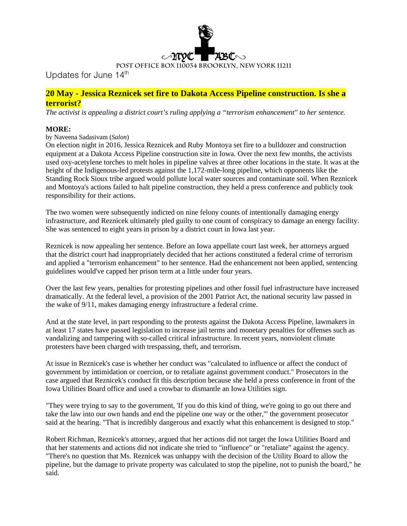

Updates for June 14<sup>th</sup>

# **20 May - Jessica Reznicek set fire to Dakota Access Pipeline construction. Is she a terrorist?**

*The activist is appealing a district court's ruling applying a "terrorism enhancement" to her sentence.*

## **MORE:**

### by Naveena Sadasivam (*Salon*)

On election night in 2016, Jessica Reznicek and Ruby Montoya set fire to a bulldozer and construction equipment at a Dakota Access Pipeline construction site in Iowa. Over the next few months, the activists used oxy-acetylene torches to melt holes in pipeline valves at three other locations in the state. It was at the height of the Indigenous-led protests against the 1,172-mile-long pipeline, which opponents like the Standing Rock Sioux tribe argued would pollute local water sources and contaminate soil. When Reznicek and Montoya's actions failed to halt pipeline construction, they held a press conference and publicly took responsibility for their actions.

The two women were subsequently indicted on nine felony counts of intentionally damaging energy infrastructure, and Reznicek ultimately pled guilty to one count of conspiracy to damage an energy facility. She was sentenced to eight years in prison by a district court in Iowa last year.

Reznicek is now appealing her sentence. Before an Iowa appellate court last week, her attorneys argued that the district court had inappropriately decided that her actions constituted a federal crime of terrorism and applied a "terrorism enhancement" to her sentence. Had the enhancement not been applied, sentencing guidelines would've capped her prison term at a little under four years.

Over the last few years, penalties for protesting pipelines and other fossil fuel infrastructure have increased dramatically. At the federal level, a provision of the 2001 Patriot Act, the national security law passed in the wake of 9/11, makes damaging energy infrastructure a federal crime.

And at the state level, in part responding to the protests against the Dakota Access Pipeline, lawmakers in at least 17 states have passed legislation to increase jail terms and monetary penalties for offenses such as vandalizing and tampering with so-called critical infrastructure. In recent years, nonviolent climate protesters have been charged with trespassing, theft, and terrorism.

At issue in Reznicek's case is whether her conduct was "calculated to influence or affect the conduct of government by intimidation or coercion, or to retaliate against government conduct." Prosecutors in the case argued that Reznicek's conduct fit this description because she held a press conference in front of the Iowa Utilities Board office and used a crowbar to dismantle an Iowa Utilities sign.

"They were trying to say to the government, 'If you do this kind of thing, we're going to go out there and take the law into our own hands and end the pipeline one way or the other,'" the government prosecutor said at the hearing. "That is incredibly dangerous and exactly what this enhancement is designed to stop."

Robert Richman, Reznicek's attorney, argued that her actions did not target the Iowa Utilities Board and that her statements and actions did not indicate she tried to "influence" or "retaliate" against the agency. "There's no question that Ms. Reznicek was unhappy with the decision of the Utility Board to allow the pipeline, but the damage to private property was calculated to stop the pipeline, not to punish the board," he said.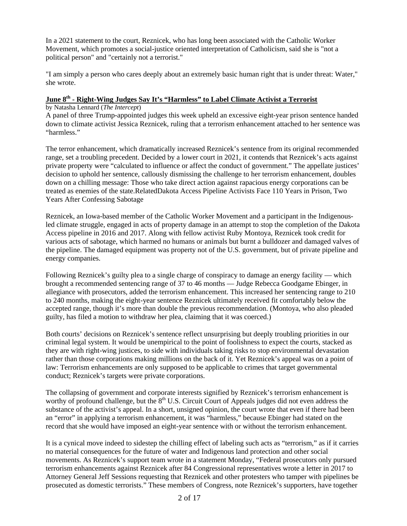In a 2021 statement to the court, Reznicek, who has long been associated with the Catholic Worker Movement, which promotes a social-justice oriented interpretation of Catholicism, said she is "not a political person" and "certainly not a terrorist."

"I am simply a person who cares deeply about an extremely basic human right that is under threat: Water," she wrote.

# **June 8th - Right-Wing Judges Say It's "Harmless" to Label Climate Activist a Terrorist**

by Natasha Lennard (*The Intercept*)

A panel of three Trump-appointed judges this week upheld an excessive eight-year prison sentence handed down to climate activist Jessica Reznicek, ruling that a terrorism enhancement attached to her sentence was "harmless."

The terror enhancement, which dramatically increased Reznicek's sentence from its original recommended range, set a troubling precedent. Decided by a lower court in 2021, it contends that Reznicek's acts against private property were "calculated to influence or affect the conduct of government." The appellate justices' decision to uphold her sentence, callously dismissing the challenge to her terrorism enhancement, doubles down on a chilling message: Those who take direct action against rapacious energy corporations can be treated as enemies of the state.RelatedDakota Access Pipeline Activists Face 110 Years in Prison, Two Years After Confessing Sabotage

Reznicek, an Iowa-based member of the Catholic Worker Movement and a participant in the Indigenousled climate struggle, engaged in acts of property damage in an attempt to stop the completion of the Dakota Access pipeline in 2016 and 2017. Along with fellow activist Ruby Montoya, Reznicek took credit for various acts of sabotage, which harmed no humans or animals but burnt a bulldozer and damaged valves of the pipeline. The damaged equipment was property not of the U.S. government, but of private pipeline and energy companies.

Following Reznicek's guilty plea to a single charge of conspiracy to damage an energy facility — which brought a recommended sentencing range of 37 to 46 months — Judge Rebecca Goodgame Ebinger, in allegiance with prosecutors, added the terrorism enhancement. This increased her sentencing range to 210 to 240 months, making the eight-year sentence Reznicek ultimately received fit comfortably below the accepted range, though it's more than double the previous recommendation. (Montoya, who also pleaded guilty, has filed a motion to withdraw her plea, claiming that it was coerced.)

Both courts' decisions on Reznicek's sentence reflect unsurprising but deeply troubling priorities in our criminal legal system. It would be unempirical to the point of foolishness to expect the courts, stacked as they are with right-wing justices, to side with individuals taking risks to stop environmental devastation rather than those corporations making millions on the back of it. Yet Reznicek's appeal was on a point of law: Terrorism enhancements are only supposed to be applicable to crimes that target governmental conduct; Reznicek's targets were private corporations.

The collapsing of government and corporate interests signified by Reznicek's terrorism enhancement is worthy of profound challenge, but the  $8<sup>th</sup>$  U.S. Circuit Court of Appeals judges did not even address the substance of the activist's appeal. In a short, unsigned opinion, the court wrote that even if there had been an "error" in applying a terrorism enhancement, it was "harmless," because Ebinger had stated on the record that she would have imposed an eight-year sentence with or without the terrorism enhancement.

It is a cynical move indeed to sidestep the chilling effect of labeling such acts as "terrorism," as if it carries no material consequences for the future of water and Indigenous land protection and other social movements. As Reznicek's support team wrote in a statement Monday, "Federal prosecutors only pursued terrorism enhancements against Reznicek after 84 Congressional representatives wrote a letter in 2017 to Attorney General Jeff Sessions requesting that Reznicek and other protesters who tamper with pipelines be prosecuted as domestic terrorists." These members of Congress, note Reznicek's supporters, have together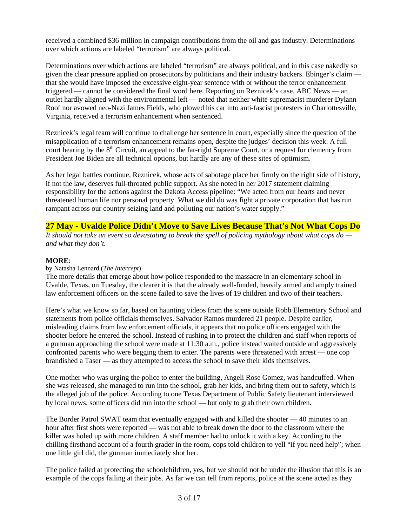received a combined \$36 million in campaign contributions from the oil and gas industry. Determinations over which actions are labeled "terrorism" are always political.

Determinations over which actions are labeled "terrorism" are always political, and in this case nakedly so given the clear pressure applied on prosecutors by politicians and their industry backers. Ebinger's claim that she would have imposed the excessive eight-year sentence with or without the terror enhancement triggered — cannot be considered the final word here. Reporting on Reznicek's case, ABC News — an outlet hardly aligned with the environmental left — noted that neither white supremacist murderer Dylann Roof nor avowed neo-Nazi James Fields, who plowed his car into anti-fascist protesters in Charlottesville, Virginia, received a terrorism enhancement when sentenced.

Reznicek's legal team will continue to challenge her sentence in court, especially since the question of the misapplication of a terrorism enhancement remains open, despite the judges' decision this week. A full court hearing by the  $8<sup>th</sup>$  Circuit, an appeal to the far-right Supreme Court, or a request for clemency from President Joe Biden are all technical options, but hardly are any of these sites of optimism.

As her legal battles continue, Reznicek, whose acts of sabotage place her firmly on the right side of history, if not the law, deserves full-throated public support. As she noted in her 2017 statement claiming responsibility for the actions against the Dakota Access pipeline: "We acted from our hearts and never threatened human life nor personal property. What we did do was fight a private corporation that has run rampant across our country seizing land and polluting our nation's water supply."

# **27 May - Uvalde Police Didn't Move to Save Lives Because That's Not What Cops Do**

*It should not take an event so devastating to break the spell of policing mythology about what cops do and what they don't.*

## **MORE**:

### by Natasha Lennard (*The Intercept*)

The more details that emerge about how police responded to the massacre in an elementary school in Uvalde, Texas, on Tuesday, the clearer it is that the already well-funded, heavily armed and amply trained law enforcement officers on the scene failed to save the lives of 19 children and two of their teachers.

Here's what we know so far, based on haunting videos from the scene outside Robb Elementary School and statements from police officials themselves. Salvador Ramos murdered 21 people. Despite earlier, misleading claims from law enforcement officials, it appears that no police officers engaged with the shooter before he entered the school. Instead of rushing in to protect the children and staff when reports of a gunman approaching the school were made at 11:30 a.m., police instead waited outside and aggressively confronted parents who were begging them to enter. The parents were threatened with arrest — one cop brandished a Taser — as they attempted to access the school to save their kids themselves.

One mother who was urging the police to enter the building, Angeli Rose Gomez, was handcuffed. When she was released, she managed to run into the school, grab her kids, and bring them out to safety, which is the alleged job of the police. According to one Texas Department of Public Safety lieutenant interviewed by local news, some officers did run into the school — but only to grab their own children.

The Border Patrol SWAT team that eventually engaged with and killed the shooter — 40 minutes to an hour after first shots were reported — was not able to break down the door to the classroom where the killer was holed up with more children. A staff member had to unlock it with a key. According to the chilling firsthand account of a fourth grader in the room, cops told children to yell "if you need help"; when one little girl did, the gunman immediately shot her.

The police failed at protecting the schoolchildren, yes, but we should not be under the illusion that this is an example of the cops failing at their jobs. As far we can tell from reports, police at the scene acted as they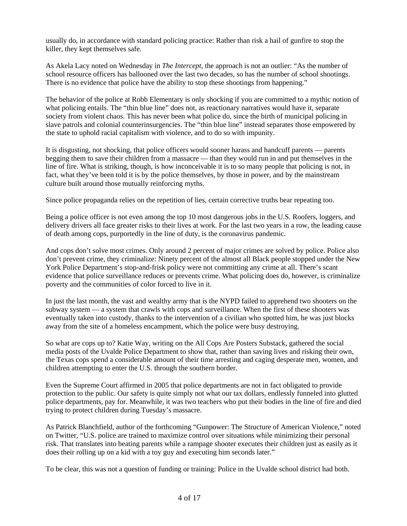usually do, in accordance with standard policing practice: Rather than risk a hail of gunfire to stop the killer, they kept themselves safe.

As Akela Lacy noted on Wednesday in *The Intercept*, the approach is not an outlier: "As the number of school resource officers has ballooned over the last two decades, so has the number of school shootings. There is no evidence that police have the ability to stop these shootings from happening."

The behavior of the police at Robb Elementary is only shocking if you are committed to a mythic notion of what policing entails. The "thin blue line" does not, as reactionary narratives would have it, separate society from violent chaos. This has never been what police do, since the birth of municipal policing in slave patrols and colonial counterinsurgencies. The "thin blue line" instead separates those empowered by the state to uphold racial capitalism with violence, and to do so with impunity.

It is disgusting, not shocking, that police officers would sooner harass and handcuff parents — parents begging them to save their children from a massacre — than they would run in and put themselves in the line of fire. What is striking, though, is how inconceivable it is to so many people that policing is not, in fact, what they've been told it is by the police themselves, by those in power, and by the mainstream culture built around those mutually reinforcing myths.

Since police propaganda relies on the repetition of lies, certain corrective truths bear repeating too.

Being a police officer is not even among the top 10 most dangerous jobs in the U.S. Roofers, loggers, and delivery drivers all face greater risks to their lives at work. For the last two years in a row, the leading cause of death among cops, purportedly in the line of duty, is the coronavirus pandemic.

And cops don't solve most crimes. Only around 2 percent of major crimes are solved by police. Police also don't prevent crime, they criminalize: Ninety percent of the almost all Black people stopped under the New York Police Department's stop-and-frisk policy were not committing any crime at all. There's scant evidence that police surveillance reduces or prevents crime. What policing does do, however, is criminalize poverty and the communities of color forced to live in it.

In just the last month, the vast and wealthy army that is the NYPD failed to apprehend two shooters on the subway system — a system that crawls with cops and surveillance. When the first of these shooters was eventually taken into custody, thanks to the intervention of a civilian who spotted him, he was just blocks away from the site of a homeless encampment, which the police were busy destroying.

So what are cops up to? Katie Way, writing on the All Cops Are Posters Substack, gathered the social media posts of the Uvalde Police Department to show that, rather than saving lives and risking their own, the Texas cops spend a considerable amount of their time arresting and caging desperate men, women, and children attempting to enter the U.S. through the southern border.

Even the Supreme Court affirmed in 2005 that police departments are not in fact obligated to provide protection to the public. Our safety is quite simply not what our tax dollars, endlessly funneled into glutted police departments, pay for. Meanwhile, it was two teachers who put their bodies in the line of fire and died trying to protect children during Tuesday's massacre.

As Patrick Blanchfield, author of the forthcoming "Gunpower: The Structure of American Violence," noted on Twitter, "U.S. police are trained to maximize control over situations while minimizing their personal risk. That translates into beating parents while a rampage shooter executes their children just as easily as it does their rolling up on a kid with a toy guy and executing him seconds later."

To be clear, this was not a question of funding or training: Police in the Uvalde school district had both.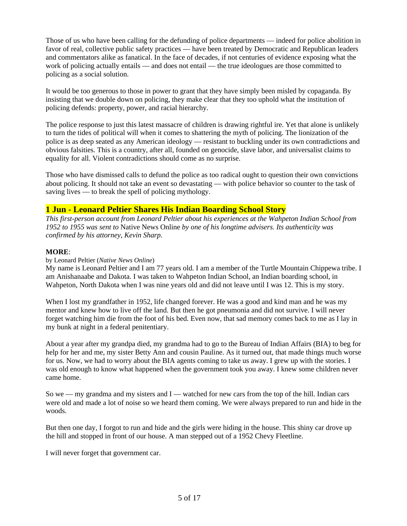Those of us who have been calling for the defunding of police departments — indeed for police abolition in favor of real, collective public safety practices — have been treated by Democratic and Republican leaders and commentators alike as fanatical. In the face of decades, if not centuries of evidence exposing what the work of policing actually entails — and does not entail — the true ideologues are those committed to policing as a social solution.

It would be too generous to those in power to grant that they have simply been misled by copaganda. By insisting that we double down on policing, they make clear that they too uphold what the institution of policing defends: property, power, and racial hierarchy.

The police response to just this latest massacre of children is drawing rightful ire. Yet that alone is unlikely to turn the tides of political will when it comes to shattering the myth of policing. The lionization of the police is as deep seated as any American ideology — resistant to buckling under its own contradictions and obvious falsities. This is a country, after all, founded on genocide, slave labor, and universalist claims to equality for all. Violent contradictions should come as no surprise.

Those who have dismissed calls to defund the police as too radical ought to question their own convictions about policing. It should not take an event so devastating — with police behavior so counter to the task of saving lives — to break the spell of policing mythology.

## **1 Jun - Leonard Peltier Shares His Indian Boarding School Story**

*This first-person account from Leonard Peltier about his experiences at the Wahpeton Indian School from 1952 to 1955 was sent to* Native News Online *by one of his longtime advisers. Its authenticity was confirmed by his attorney, Kevin Sharp.*

### **MORE**:

### by Leonard Peltier (*Native News Online*)

My name is Leonard Peltier and I am 77 years old. I am a member of the Turtle Mountain Chippewa tribe. I am Anishanaabe and Dakota. I was taken to Wahpeton Indian School, an Indian boarding school, in Wahpeton, North Dakota when I was nine years old and did not leave until I was 12. This is my story.

When I lost my grandfather in 1952, life changed forever. He was a good and kind man and he was my mentor and knew how to live off the land. But then he got pneumonia and did not survive. I will never forget watching him die from the foot of his bed. Even now, that sad memory comes back to me as I lay in my bunk at night in a federal penitentiary.

About a year after my grandpa died, my grandma had to go to the Bureau of Indian Affairs (BIA) to beg for help for her and me, my sister Betty Ann and cousin Pauline. As it turned out, that made things much worse for us. Now, we had to worry about the BIA agents coming to take us away. I grew up with the stories. I was old enough to know what happened when the government took you away. I knew some children never came home.

So we — my grandma and my sisters and I — watched for new cars from the top of the hill. Indian cars were old and made a lot of noise so we heard them coming. We were always prepared to run and hide in the woods.

But then one day, I forgot to run and hide and the girls were hiding in the house. This shiny car drove up the hill and stopped in front of our house. A man stepped out of a 1952 Chevy Fleetline.

I will never forget that government car.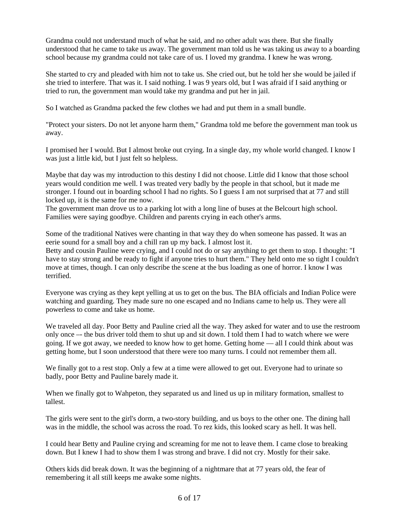Grandma could not understand much of what he said, and no other adult was there. But she finally understood that he came to take us away. The government man told us he was taking us away to a boarding school because my grandma could not take care of us. I loved my grandma. I knew he was wrong.

She started to cry and pleaded with him not to take us. She cried out, but he told her she would be jailed if she tried to interfere. That was it. I said nothing. I was 9 years old, but I was afraid if I said anything or tried to run, the government man would take my grandma and put her in jail.

So I watched as Grandma packed the few clothes we had and put them in a small bundle.

"Protect your sisters. Do not let anyone harm them," Grandma told me before the government man took us away.

I promised her I would. But I almost broke out crying. In a single day, my whole world changed. I know I was just a little kid, but I just felt so helpless.

Maybe that day was my introduction to this destiny I did not choose. Little did I know that those school years would condition me well. I was treated very badly by the people in that school, but it made me stronger. I found out in boarding school I had no rights. So I guess I am not surprised that at 77 and still locked up, it is the same for me now.

The government man drove us to a parking lot with a long line of buses at the Belcourt high school. Families were saying goodbye. Children and parents crying in each other's arms.

Some of the traditional Natives were chanting in that way they do when someone has passed. It was an eerie sound for a small boy and a chill ran up my back. I almost lost it.

Betty and cousin Pauline were crying, and I could not do or say anything to get them to stop. I thought: "I have to stay strong and be ready to fight if anyone tries to hurt them." They held onto me so tight I couldn't move at times, though. I can only describe the scene at the bus loading as one of horror. I know I was terrified.

Everyone was crying as they kept yelling at us to get on the bus. The BIA officials and Indian Police were watching and guarding. They made sure no one escaped and no Indians came to help us. They were all powerless to come and take us home.

We traveled all day. Poor Betty and Pauline cried all the way. They asked for water and to use the restroom only once –- the bus driver told them to shut up and sit down. I told them I had to watch where we were going. If we got away, we needed to know how to get home. Getting home — all I could think about was getting home, but I soon understood that there were too many turns. I could not remember them all.

We finally got to a rest stop. Only a few at a time were allowed to get out. Everyone had to urinate so badly, poor Betty and Pauline barely made it.

When we finally got to Wahpeton, they separated us and lined us up in military formation, smallest to tallest.

The girls were sent to the girl's dorm, a two-story building, and us boys to the other one. The dining hall was in the middle, the school was across the road. To rez kids, this looked scary as hell. It was hell.

I could hear Betty and Pauline crying and screaming for me not to leave them. I came close to breaking down. But I knew I had to show them I was strong and brave. I did not cry. Mostly for their sake.

Others kids did break down. It was the beginning of a nightmare that at 77 years old, the fear of remembering it all still keeps me awake some nights.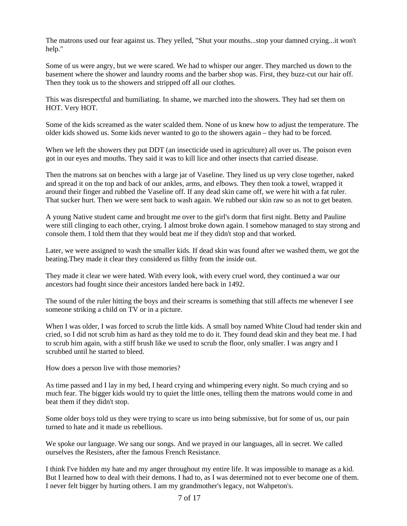The matrons used our fear against us. They yelled, "Shut your mouths...stop your damned crying...it won't help."

Some of us were angry, but we were scared. We had to whisper our anger. They marched us down to the basement where the shower and laundry rooms and the barber shop was. First, they buzz-cut our hair off. Then they took us to the showers and stripped off all our clothes.

This was disrespectful and humiliating. In shame, we marched into the showers. They had set them on HOT. Very HOT.

Some of the kids screamed as the water scalded them. None of us knew how to adjust the temperature. The older kids showed us. Some kids never wanted to go to the showers again – they had to be forced.

When we left the showers they put DDT (an insecticide used in agriculture) all over us. The poison even got in our eyes and mouths. They said it was to kill lice and other insects that carried disease.

Then the matrons sat on benches with a large jar of Vaseline. They lined us up very close together, naked and spread it on the top and back of our ankles, arms, and elbows. They then took a towel, wrapped it around their finger and rubbed the Vaseline off. If any dead skin came off, we were hit with a fat ruler. That sucker hurt. Then we were sent back to wash again. We rubbed our skin raw so as not to get beaten.

A young Native student came and brought me over to the girl's dorm that first night. Betty and Pauline were still clinging to each other, crying. I almost broke down again. I somehow managed to stay strong and console them. I told them that they would beat me if they didn't stop and that worked.

Later, we were assigned to wash the smaller kids. If dead skin was found after we washed them, we got the beating.They made it clear they considered us filthy from the inside out.

They made it clear we were hated. With every look, with every cruel word, they continued a war our ancestors had fought since their ancestors landed here back in 1492.

The sound of the ruler hitting the boys and their screams is something that still affects me whenever I see someone striking a child on TV or in a picture.

When I was older, I was forced to scrub the little kids. A small boy named White Cloud had tender skin and cried, so I did not scrub him as hard as they told me to do it. They found dead skin and they beat me. I had to scrub him again, with a stiff brush like we used to scrub the floor, only smaller. I was angry and I scrubbed until he started to bleed.

How does a person live with those memories?

As time passed and I lay in my bed, I heard crying and whimpering every night. So much crying and so much fear. The bigger kids would try to quiet the little ones, telling them the matrons would come in and beat them if they didn't stop.

Some older boys told us they were trying to scare us into being submissive, but for some of us, our pain turned to hate and it made us rebellious.

We spoke our language. We sang our songs. And we prayed in our languages, all in secret. We called ourselves the Resisters, after the famous French Resistance.

I think I've hidden my hate and my anger throughout my entire life. It was impossible to manage as a kid. But I learned how to deal with their demons. I had to, as I was determined not to ever become one of them. I never felt bigger by hurting others. I am my grandmother's legacy, not Wahpeton's.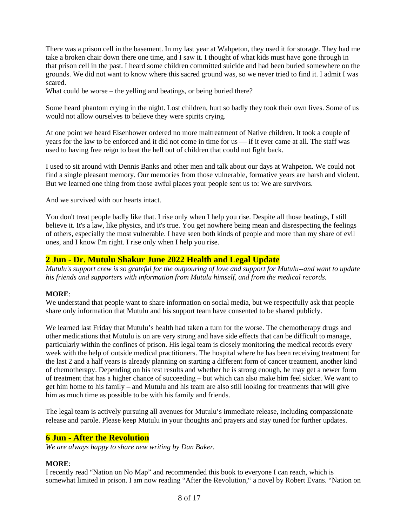There was a prison cell in the basement. In my last year at Wahpeton, they used it for storage. They had me take a broken chair down there one time, and I saw it. I thought of what kids must have gone through in that prison cell in the past. I heard some children committed suicide and had been buried somewhere on the grounds. We did not want to know where this sacred ground was, so we never tried to find it. I admit I was scared.

What could be worse – the yelling and beatings, or being buried there?

Some heard phantom crying in the night. Lost children, hurt so badly they took their own lives. Some of us would not allow ourselves to believe they were spirits crying.

At one point we heard Eisenhower ordered no more maltreatment of Native children. It took a couple of years for the law to be enforced and it did not come in time for us — if it ever came at all. The staff was used to having free reign to beat the hell out of children that could not fight back.

I used to sit around with Dennis Banks and other men and talk about our days at Wahpeton. We could not find a single pleasant memory. Our memories from those vulnerable, formative years are harsh and violent. But we learned one thing from those awful places your people sent us to: We are survivors.

And we survived with our hearts intact.

You don't treat people badly like that. I rise only when I help you rise. Despite all those beatings, I still believe it. It's a law, like physics, and it's true. You get nowhere being mean and disrespecting the feelings of others, especially the most vulnerable. I have seen both kinds of people and more than my share of evil ones, and I know I'm right. I rise only when I help you rise.

# **2 Jun - Dr. Mutulu Shakur June 2022 Health and Legal Update**

*Mutulu's support crew is so grateful for the outpouring of love and support for Mutulu--and want to update his friends and supporters with information from Mutulu himself, and from the medical records.*

### **MORE**:

We understand that people want to share information on social media, but we respectfully ask that people share only information that Mutulu and his support team have consented to be shared publicly.

We learned last Friday that Mutulu's health had taken a turn for the worse. The chemotherapy drugs and other medications that Mutulu is on are very strong and have side effects that can be difficult to manage, particularly within the confines of prison. His legal team is closely monitoring the medical records every week with the help of outside medical practitioners. The hospital where he has been receiving treatment for the last 2 and a half years is already planning on starting a different form of cancer treatment, another kind of chemotherapy. Depending on his test results and whether he is strong enough, he may get a newer form of treatment that has a higher chance of succeeding – but which can also make him feel sicker. We want to get him home to his family – and Mutulu and his team are also still looking for treatments that will give him as much time as possible to be with his family and friends.

The legal team is actively pursuing all avenues for Mutulu's immediate release, including compassionate release and parole. Please keep Mutulu in your thoughts and prayers and stay tuned for further updates.

## **6 Jun - After the Revolution**

*We are always happy to share new writing by Dan Baker.*

### **MORE**:

I recently read "Nation on No Map" and recommended this book to everyone I can reach, which is somewhat limited in prison. I am now reading "After the Revolution," a novel by Robert Evans. "Nation on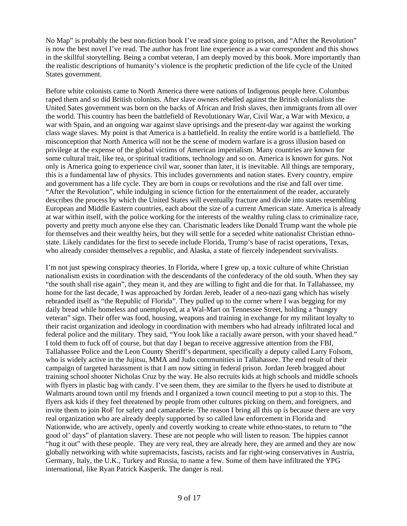No Map" is probably the best non-fiction book I've read since going to prison, and "After the Revolution" is now the best novel I've read. The author has front line experience as a war correspondent and this shows in the skillful storytelling. Being a combat veteran, I am deeply moved by this book. More importantly than the realistic descriptions of humanity's violence is the prophetic prediction of the life cycle of the United States government.

Before white colonists came to North America there were nations of Indigenous people here. Columbus raped them and so did British colonists. After slave owners rebelled against the British colonialists the United Sates government was born on the backs of African and Irish slaves, then immigrants from all over the world. This country has been the battlefield of Revolutionary War, Civil War, a War with Mexico, a war with Spain, and an ongoing war against slave uprisings and the present-day war against the working class wage slaves. My point is that America is a battlefield. In reality the entire world is a battlefield. The misconception that North America will not be the scene of modern warfare is a gross illusion based on privilege at the expense of the global victims of American imperialism. Many countries are known for some cultural trait, like tea, or spiritual traditions, technology and so on. America is known for guns. Not only is America going to experience civil war, sooner than later, it is inevitable. All things are temporary, this is a fundamental law of physics. This includes governments and nation states. Every country, empire and government has a life cycle. They are born in coups or revolutions and the rise and fall over time. "After the Revolution", while indulging in science fiction for the entertainment of the reader, accurately describes the process by which the United States will eventually fracture and divide into states resembling European and Middle Eastern countries, each about the size of a current American state. America is already at war within itself, with the police working for the interests of the wealthy ruling class to criminalize race, poverty and pretty much anyone else they can. Charismatic leaders like Donald Trump want the whole pie for themselves and their wealthy heirs, but they will settle for a seceded white nationalist Christian ethnostate. Likely candidates for the first to secede include Florida, Trump's base of racist operations, Texas, who already consider themselves a republic, and Alaska, a state of fiercely independent survivalists.

I'm not just spewing conspiracy theories. In Florida, where I grew up, a toxic culture of white Christian nationalism exists in coordination with the descendants of the confederacy of the old south. When they say "the south shall rise again", they mean it, and they are willing to fight and die for that. In Tallahassee, my home for the last decade, I was approached by Jordan Jereb, leader of a neo-nazi gang which has wisely rebranded itself as "the Republic of Florida". They pulled up to the corner where I was begging for my daily bread while homeless and unemployed, at a Wal-Mart on Tennessee Street, holding a "hungry veteran" sign. Their offer was food, housing, weapons and training in exchange for my militant loyalty to their racist organization and ideology in coordination with members who had already infiltrated local and federal police and the military. They said, "You look like a racially aware person, with your shaved head." I told them to fuck off of course, but that day I began to receive aggressive attention from the FBI, Tallahassee Police and the Leon County Sheriff's department, specifically a deputy called Larry Folsom, who is widely active in the Jujitsu, MMA and Judo communities in Tallahassee. The end result of their campaign of targeted harassment is that I am now sitting in federal prison. Jordan Jereb bragged about training school shooter Nicholas Cruz by the way. He also recruits kids at high schools and middle schools with flyers in plastic bag with candy. I've seen them, they are similar to the flyers he used to distribute at Walmarts around town until my friends and I organized a town council meeting to put a stop to this. The flyers ask kids if they feel threatened by people from other cultures picking on them, and foreigners, and invite them to join RoF for safety and camaraderie. The reason I bring all this up is because there are very real organization who are already deeply supported by so called law enforcement in Florida and Nationwide, who are actively, openly and covertly working to create white ethno-states, to return to "the good ol' days" of plantation slavery. These are not people who will listen to reason. The hippies cannot "hug it out" with these people. They are very real, they are already here, they are armed and they are now globally networking with white supremacists, fascists, racists and far right-wing conservatives in Austria, Germany, Italy, the U.K., Turkey and Russia, to name a few. Some of them have infiltrated the YPG international, like Ryan Patrick Kasperik. The danger is real.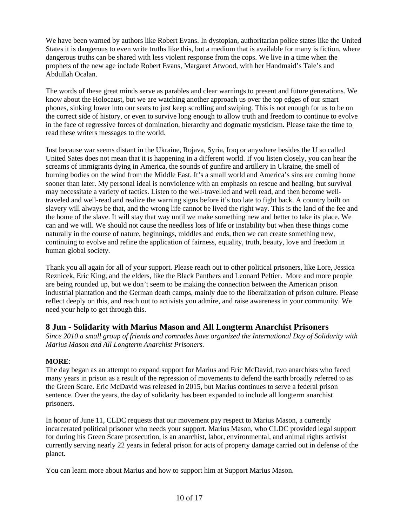We have been warned by authors like Robert Evans. In dystopian, authoritarian police states like the United States it is dangerous to even write truths like this, but a medium that is available for many is fiction, where dangerous truths can be shared with less violent response from the cops. We live in a time when the prophets of the new age include Robert Evans, Margaret Atwood, with her Handmaid's Tale's and Abdullah Ocalan.

The words of these great minds serve as parables and clear warnings to present and future generations. We know about the Holocaust, but we are watching another approach us over the top edges of our smart phones, sinking lower into our seats to just keep scrolling and swiping. This is not enough for us to be on the correct side of history, or even to survive long enough to allow truth and freedom to continue to evolve in the face of regressive forces of domination, hierarchy and dogmatic mysticism. Please take the time to read these writers messages to the world.

Just because war seems distant in the Ukraine, Rojava, Syria, Iraq or anywhere besides the U so called United Sates does not mean that it is happening in a different world. If you listen closely, you can hear the screams of immigrants dying in America, the sounds of gunfire and artillery in Ukraine, the smell of burning bodies on the wind from the Middle East. It's a small world and America's sins are coming home sooner than later. My personal ideal is nonviolence with an emphasis on rescue and healing, but survival may necessitate a variety of tactics. Listen to the well-travelled and well read, and then become welltraveled and well-read and realize the warning signs before it's too late to fight back. A country built on slavery will always be that, and the wrong life cannot be lived the right way. This is the land of the fee and the home of the slave. It will stay that way until we make something new and better to take its place. We can and we will. We should not cause the needless loss of life or instability but when these things come naturally in the course of nature, beginnings, middles and ends, then we can create something new, continuing to evolve and refine the application of fairness, equality, truth, beauty, love and freedom in human global society.

Thank you all again for all of your support. Please reach out to other political prisoners, like Lore, Jessica Reznicek, Eric King, and the elders, like the Black Panthers and Leonard Peltier. More and more people are being rounded up, but we don't seem to be making the connection between the American prison industrial plantation and the German death camps, mainly due to the liberalization of prison culture. Please reflect deeply on this, and reach out to activists you admire, and raise awareness in your community. We need your help to get through this.

# **8 Jun - Solidarity with Marius Mason and All Longterm Anarchist Prisoners**

*Since 2010 a small group of friends and comrades have organized the International Day of Solidarity with Marius Mason and All Longterm Anarchist Prisoners.*

# **MORE**:

The day began as an attempt to expand support for Marius and Eric McDavid, two anarchists who faced many years in prison as a result of the repression of movements to defend the earth broadly referred to as the Green Scare. Eric McDavid was released in 2015, but Marius continues to serve a federal prison sentence. Over the years, the day of solidarity has been expanded to include all longterm anarchist prisoners.

In honor of June 11, CLDC requests that our movement pay respect to Marius Mason, a currently incarcerated political prisoner who needs your support. Marius Mason, who CLDC provided legal support for during his Green Scare prosecution, is an anarchist, labor, environmental, and animal rights activist currently serving nearly 22 years in federal prison for acts of property damage carried out in defense of the planet.

You can learn more about Marius and how to support him at Support Marius Mason.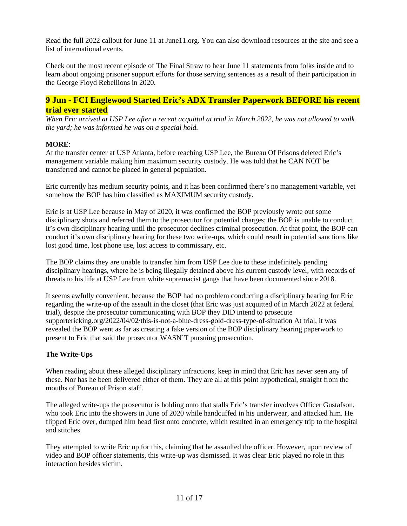Read the full 2022 callout for June 11 at June11.org. You can also download resources at the site and see a list of international events.

Check out the most recent episode of The Final Straw to hear June 11 statements from folks inside and to learn about ongoing prisoner support efforts for those serving sentences as a result of their participation in the George Floyd Rebellions in 2020.

# **9 Jun - FCI Englewood Started Eric's ADX Transfer Paperwork BEFORE his recent trial ever started**

*When Eric arrived at USP Lee after a recent acquittal at trial in March 2022, he was not allowed to walk the yard; he was informed he was on a special hold.*

### **MORE**:

At the transfer center at USP Atlanta, before reaching USP Lee, the Bureau Of Prisons deleted Eric's management variable making him maximum security custody. He was told that he CAN NOT be transferred and cannot be placed in general population.

Eric currently has medium security points, and it has been confirmed there's no management variable, yet somehow the BOP has him classified as MAXIMUM security custody.

Eric is at USP Lee because in May of 2020, it was confirmed the BOP previously wrote out some disciplinary shots and referred them to the prosecutor for potential charges; the BOP is unable to conduct it's own disciplinary hearing until the prosecutor declines criminal prosecution. At that point, the BOP can conduct it's own disciplinary hearing for these two write-ups, which could result in potential sanctions like lost good time, lost phone use, lost access to commissary, etc.

The BOP claims they are unable to transfer him from USP Lee due to these indefinitely pending disciplinary hearings, where he is being illegally detained above his current custody level, with records of threats to his life at USP Lee from white supremacist gangs that have been documented since 2018.

It seems awfully convenient, because the BOP had no problem conducting a disciplinary hearing for Eric regarding the write-up of the assault in the closet (that Eric was just acquitted of in March 2022 at federal trial), despite the prosecutor communicating with BOP they DID intend to prosecute supportericking.org/2022/04/02/this-is-not-a-blue-dress-gold-dress-type-of-situation At trial, it was revealed the BOP went as far as creating a fake version of the BOP disciplinary hearing paperwork to present to Eric that said the prosecutor WASN'T pursuing prosecution.

## **The Write-Ups**

When reading about these alleged disciplinary infractions, keep in mind that Eric has never seen any of these. Nor has he been delivered either of them. They are all at this point hypothetical, straight from the mouths of Bureau of Prison staff.

The alleged write-ups the prosecutor is holding onto that stalls Eric's transfer involves Officer Gustafson, who took Eric into the showers in June of 2020 while handcuffed in his underwear, and attacked him. He flipped Eric over, dumped him head first onto concrete, which resulted in an emergency trip to the hospital and stitches.

They attempted to write Eric up for this, claiming that he assaulted the officer. However, upon review of video and BOP officer statements, this write-up was dismissed. It was clear Eric played no role in this interaction besides victim.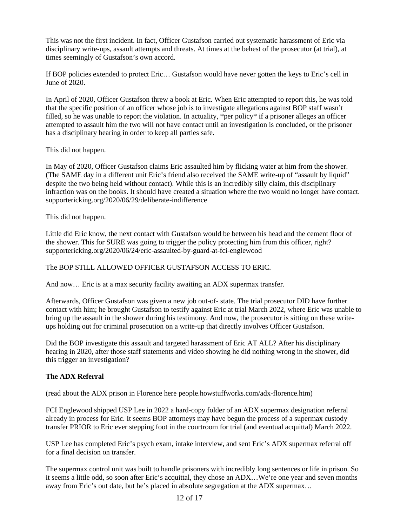This was not the first incident. In fact, Officer Gustafson carried out systematic harassment of Eric via disciplinary write-ups, assault attempts and threats. At times at the behest of the prosecutor (at trial), at times seemingly of Gustafson's own accord.

If BOP policies extended to protect Eric… Gustafson would have never gotten the keys to Eric's cell in June of 2020.

In April of 2020, Officer Gustafson threw a book at Eric. When Eric attempted to report this, he was told that the specific position of an officer whose job is to investigate allegations against BOP staff wasn't filled, so he was unable to report the violation. In actuality, \*per policy\* if a prisoner alleges an officer attempted to assault him the two will not have contact until an investigation is concluded, or the prisoner has a disciplinary hearing in order to keep all parties safe.

This did not happen.

In May of 2020, Officer Gustafson claims Eric assaulted him by flicking water at him from the shower. (The SAME day in a different unit Eric's friend also received the SAME write-up of "assault by liquid" despite the two being held without contact). While this is an incredibly silly claim, this disciplinary infraction was on the books. It should have created a situation where the two would no longer have contact. supportericking.org/2020/06/29/deliberate-indifference

This did not happen.

Little did Eric know, the next contact with Gustafson would be between his head and the cement floor of the shower. This for SURE was going to trigger the policy protecting him from this officer, right? supportericking.org/2020/06/24/eric-assaulted-by-guard-at-fci-englewood

The BOP STILL ALLOWED OFFICER GUSTAFSON ACCESS TO ERIC.

And now… Eric is at a max security facility awaiting an ADX supermax transfer.

Afterwards, Officer Gustafson was given a new job out-of- state. The trial prosecutor DID have further contact with him; he brought Gustafson to testify against Eric at trial March 2022, where Eric was unable to bring up the assault in the shower during his testimony. And now, the prosecutor is sitting on these writeups holding out for criminal prosecution on a write-up that directly involves Officer Gustafson.

Did the BOP investigate this assault and targeted harassment of Eric AT ALL? After his disciplinary hearing in 2020, after those staff statements and video showing he did nothing wrong in the shower, did this trigger an investigation?

## **The ADX Referral**

(read about the ADX prison in Florence here people.howstuffworks.com/adx-florence.htm)

FCI Englewood shipped USP Lee in 2022 a hard-copy folder of an ADX supermax designation referral already in process for Eric. It seems BOP attorneys may have begun the process of a supermax custody transfer PRIOR to Eric ever stepping foot in the courtroom for trial (and eventual acquittal) March 2022.

USP Lee has completed Eric's psych exam, intake interview, and sent Eric's ADX supermax referral off for a final decision on transfer.

The supermax control unit was built to handle prisoners with incredibly long sentences or life in prison. So it seems a little odd, so soon after Eric's acquittal, they chose an ADX…We're one year and seven months away from Eric's out date, but he's placed in absolute segregation at the ADX supermax…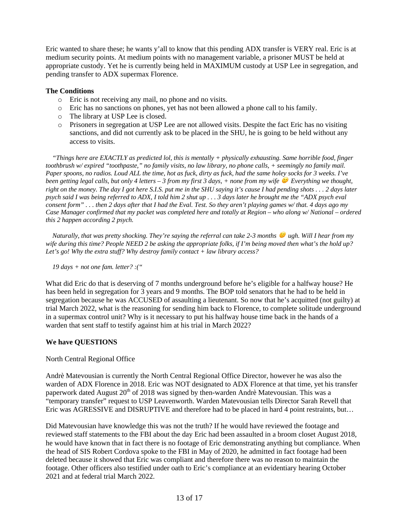Eric wanted to share these; he wants y'all to know that this pending ADX transfer is VERY real. Eric is at medium security points. At medium points with no management variable, a prisoner MUST be held at appropriate custody. Yet he is currently being held in MAXIMUM custody at USP Lee in segregation, and pending transfer to ADX supermax Florence.

## **The Conditions**

- o Eric is not receiving any mail, no phone and no visits.
- $\circ$  Eric has no sanctions on phones, yet has not been allowed a phone call to his family.
- o The library at USP Lee is closed.
- $\circ$  Prisoners in segregation at USP Lee are not allowed visits. Despite the fact Eric has no visiting sanctions, and did not currently ask to be placed in the SHU, he is going to be held without any access to visits.

 *"Things here are EXACTLY as predicted lol, this is mentally + physically exhausting. Same horrible food, finger toothbrush w/ expired "toothpaste," no family visits, no law library, no phone calls, + seemingly no family mail. Paper spoons, no radios. Loud ALL the time, hot as fuck, dirty as fuck, had the same holey socks for 3 weeks. I've been getting legal calls, but only 4 letters – 3 from my first 3 days, + none from my wife Everything we thought, right on the money. The day I got here S.I.S. put me in the SHU saying it's cause I had pending shots . . . 2 days later psych said I was being referred to ADX, I told him 2 shut up . . . 3 days later he brought me the "ADX psych eval consent form" . . . then 2 days after that I had the Eval. Test. So they aren't playing games w/ that. 4 days ago my Case Manager confirmed that my packet was completed here and totally at Region – who along w/ National – ordered this 2 happen according 2 psych.*

 *Naturally, that was pretty shocking. They're saying the referral can take 2-3 months ugh. Will I hear from my wife during this time? People NEED 2 be asking the appropriate folks, if I'm being moved then what's the hold up? Let's go! Why the extra stuff? Why destroy family contact + law library access?*

 *19 days + not one fam. letter? :("*

What did Eric do that is deserving of 7 months underground before he's eligible for a halfway house? He has been held in segregation for 3 years and 9 months. The BOP told senators that he had to be held in segregation because he was ACCUSED of assaulting a lieutenant. So now that he's acquitted (not guilty) at trial March 2022, what is the reasoning for sending him back to Florence, to complete solitude underground in a supermax control unit? Why is it necessary to put his halfway house time back in the hands of a warden that sent staff to testify against him at his trial in March 2022?

## **We have QUESTIONS**

### North Central Regional Office

Andrè Matevousian is currently the North Central Regional Office Director, however he was also the warden of ADX Florence in 2018. Eric was NOT designated to ADX Florence at that time, yet his transfer paperwork dated August 20<sup>th</sup> of 2018 was signed by then-warden Andrè Matevousian. This was a "temporary transfer" request to USP Leavenworth. Warden Matevousian tells Director Sarah Revell that Eric was AGRESSIVE and DISRUPTIVE and therefore had to be placed in hard 4 point restraints, but…

Did Matevousian have knowledge this was not the truth? If he would have reviewed the footage and reviewed staff statements to the FBI about the day Eric had been assaulted in a broom closet August 2018, he would have known that in fact there is no footage of Eric demonstrating anything but compliance. When the head of SIS Robert Cordova spoke to the FBI in May of 2020, he admitted in fact footage had been deleted because it showed that Eric was compliant and therefore there was no reason to maintain the footage. Other officers also testified under oath to Eric's compliance at an evidentiary hearing October 2021 and at federal trial March 2022.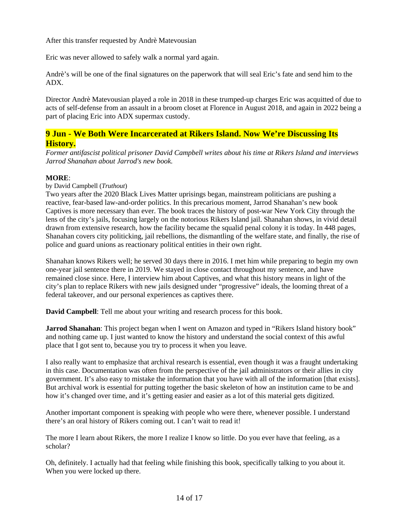After this transfer requested by Andrè Matevousian

Eric was never allowed to safely walk a normal yard again.

Andrè's will be one of the final signatures on the paperwork that will seal Eric's fate and send him to the ADX.

Director Andrè Matevousian played a role in 2018 in these trumped-up charges Eric was acquitted of due to acts of self-defense from an assault in a broom closet at Florence in August 2018, and again in 2022 being a part of placing Eric into ADX supermax custody.

# **9 Jun - We Both Were Incarcerated at Rikers Island. Now We're Discussing Its History.**

*Former antifascist political prisoner David Campbell writes about his time at Rikers Island and interviews Jarrod Shanahan about Jarrod's new book.*

### **MORE**:

by David Campbell (*Truthout*)

Two years after the 2020 Black Lives Matter uprisings began, mainstream politicians are pushing a reactive, fear-based law-and-order politics. In this precarious moment, Jarrod Shanahan's new book Captives is more necessary than ever. The book traces the history of post-war New York City through the lens of the city's jails, focusing largely on the notorious Rikers Island jail. Shanahan shows, in vivid detail drawn from extensive research, how the facility became the squalid penal colony it is today. In 448 pages, Shanahan covers city politicking, jail rebellions, the dismantling of the welfare state, and finally, the rise of police and guard unions as reactionary political entities in their own right.

Shanahan knows Rikers well; he served 30 days there in 2016. I met him while preparing to begin my own one-year jail sentence there in 2019. We stayed in close contact throughout my sentence, and have remained close since. Here, I interview him about Captives, and what this history means in light of the city's plan to replace Rikers with new jails designed under "progressive" ideals, the looming threat of a federal takeover, and our personal experiences as captives there.

**David Campbell**: Tell me about your writing and research process for this book.

**Jarrod Shanahan**: This project began when I went on Amazon and typed in "Rikers Island history book" and nothing came up. I just wanted to know the history and understand the social context of this awful place that I got sent to, because you try to process it when you leave.

I also really want to emphasize that archival research is essential, even though it was a fraught undertaking in this case. Documentation was often from the perspective of the jail administrators or their allies in city government. It's also easy to mistake the information that you have with all of the information [that exists]. But archival work is essential for putting together the basic skeleton of how an institution came to be and how it's changed over time, and it's getting easier and easier as a lot of this material gets digitized.

Another important component is speaking with people who were there, whenever possible. I understand there's an oral history of Rikers coming out. I can't wait to read it!

The more I learn about Rikers, the more I realize I know so little. Do you ever have that feeling, as a scholar?

Oh, definitely. I actually had that feeling while finishing this book, specifically talking to you about it. When you were locked up there.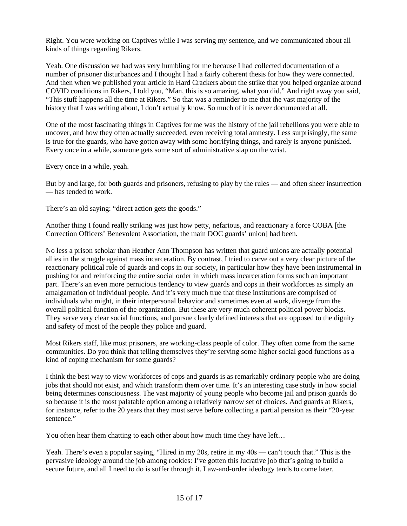Right. You were working on Captives while I was serving my sentence, and we communicated about all kinds of things regarding Rikers.

Yeah. One discussion we had was very humbling for me because I had collected documentation of a number of prisoner disturbances and I thought I had a fairly coherent thesis for how they were connected. And then when we published your article in Hard Crackers about the strike that you helped organize around COVID conditions in Rikers, I told you, "Man, this is so amazing, what you did." And right away you said, "This stuff happens all the time at Rikers." So that was a reminder to me that the vast majority of the history that I was writing about, I don't actually know. So much of it is never documented at all.

One of the most fascinating things in Captives for me was the history of the jail rebellions you were able to uncover, and how they often actually succeeded, even receiving total amnesty. Less surprisingly, the same is true for the guards, who have gotten away with some horrifying things, and rarely is anyone punished. Every once in a while, someone gets some sort of administrative slap on the wrist.

Every once in a while, yeah.

But by and large, for both guards and prisoners, refusing to play by the rules — and often sheer insurrection — has tended to work.

There's an old saying: "direct action gets the goods."

Another thing I found really striking was just how petty, nefarious, and reactionary a force COBA [the Correction Officers' Benevolent Association, the main DOC guards' union] had been.

No less a prison scholar than Heather Ann Thompson has written that guard unions are actually potential allies in the struggle against mass incarceration. By contrast, I tried to carve out a very clear picture of the reactionary political role of guards and cops in our society, in particular how they have been instrumental in pushing for and reinforcing the entire social order in which mass incarceration forms such an important part. There's an even more pernicious tendency to view guards and cops in their workforces as simply an amalgamation of individual people. And it's very much true that these institutions are comprised of individuals who might, in their interpersonal behavior and sometimes even at work, diverge from the overall political function of the organization. But these are very much coherent political power blocks. They serve very clear social functions, and pursue clearly defined interests that are opposed to the dignity and safety of most of the people they police and guard.

Most Rikers staff, like most prisoners, are working-class people of color. They often come from the same communities. Do you think that telling themselves they're serving some higher social good functions as a kind of coping mechanism for some guards?

I think the best way to view workforces of cops and guards is as remarkably ordinary people who are doing jobs that should not exist, and which transform them over time. It's an interesting case study in how social being determines consciousness. The vast majority of young people who become jail and prison guards do so because it is the most palatable option among a relatively narrow set of choices. And guards at Rikers, for instance, refer to the 20 years that they must serve before collecting a partial pension as their "20-year sentence."

You often hear them chatting to each other about how much time they have left…

Yeah. There's even a popular saying, "Hired in my 20s, retire in my 40s — can't touch that." This is the pervasive ideology around the job among rookies: I've gotten this lucrative job that's going to build a secure future, and all I need to do is suffer through it. Law-and-order ideology tends to come later.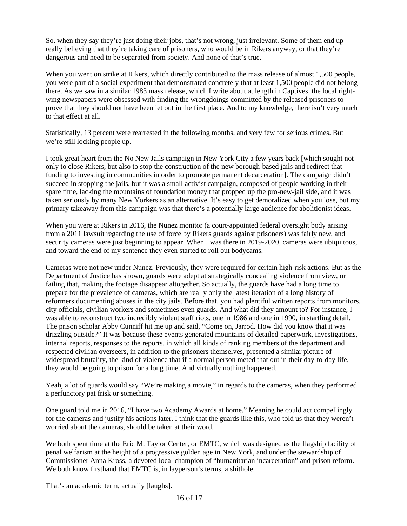So, when they say they're just doing their jobs, that's not wrong, just irrelevant. Some of them end up really believing that they're taking care of prisoners, who would be in Rikers anyway, or that they're dangerous and need to be separated from society. And none of that's true.

When you went on strike at Rikers, which directly contributed to the mass release of almost 1,500 people, you were part of a social experiment that demonstrated concretely that at least 1,500 people did not belong there. As we saw in a similar 1983 mass release, which I write about at length in Captives, the local rightwing newspapers were obsessed with finding the wrongdoings committed by the released prisoners to prove that they should not have been let out in the first place. And to my knowledge, there isn't very much to that effect at all.

Statistically, 13 percent were rearrested in the following months, and very few for serious crimes. But we're still locking people up.

I took great heart from the No New Jails campaign in New York City a few years back [which sought not only to close Rikers, but also to stop the construction of the new borough-based jails and redirect that funding to investing in communities in order to promote permanent decarceration]. The campaign didn't succeed in stopping the jails, but it was a small activist campaign, composed of people working in their spare time, lacking the mountains of foundation money that propped up the pro-new-jail side, and it was taken seriously by many New Yorkers as an alternative. It's easy to get demoralized when you lose, but my primary takeaway from this campaign was that there's a potentially large audience for abolitionist ideas.

When you were at Rikers in 2016, the Nunez monitor (a court-appointed federal oversight body arising from a 2011 lawsuit regarding the use of force by Rikers guards against prisoners) was fairly new, and security cameras were just beginning to appear. When I was there in 2019-2020, cameras were ubiquitous, and toward the end of my sentence they even started to roll out bodycams.

Cameras were not new under Nunez. Previously, they were required for certain high-risk actions. But as the Department of Justice has shown, guards were adept at strategically concealing violence from view, or failing that, making the footage disappear altogether. So actually, the guards have had a long time to prepare for the prevalence of cameras, which are really only the latest iteration of a long history of reformers documenting abuses in the city jails. Before that, you had plentiful written reports from monitors, city officials, civilian workers and sometimes even guards. And what did they amount to? For instance, I was able to reconstruct two incredibly violent staff riots, one in 1986 and one in 1990, in startling detail. The prison scholar Abby Cunniff hit me up and said, "Come on, Jarrod. How did you know that it was drizzling outside?" It was because these events generated mountains of detailed paperwork, investigations, internal reports, responses to the reports, in which all kinds of ranking members of the department and respected civilian overseers, in addition to the prisoners themselves, presented a similar picture of widespread brutality, the kind of violence that if a normal person meted that out in their day-to-day life, they would be going to prison for a long time. And virtually nothing happened.

Yeah, a lot of guards would say "We're making a movie," in regards to the cameras, when they performed a perfunctory pat frisk or something.

One guard told me in 2016, "I have two Academy Awards at home." Meaning he could act compellingly for the cameras and justify his actions later. I think that the guards like this, who told us that they weren't worried about the cameras, should be taken at their word.

We both spent time at the Eric M. Taylor Center, or EMTC, which was designed as the flagship facility of penal welfarism at the height of a progressive golden age in New York, and under the stewardship of Commissioner Anna Kross, a devoted local champion of "humanitarian incarceration" and prison reform. We both know firsthand that EMTC is, in layperson's terms, a shithole.

That's an academic term, actually [laughs].